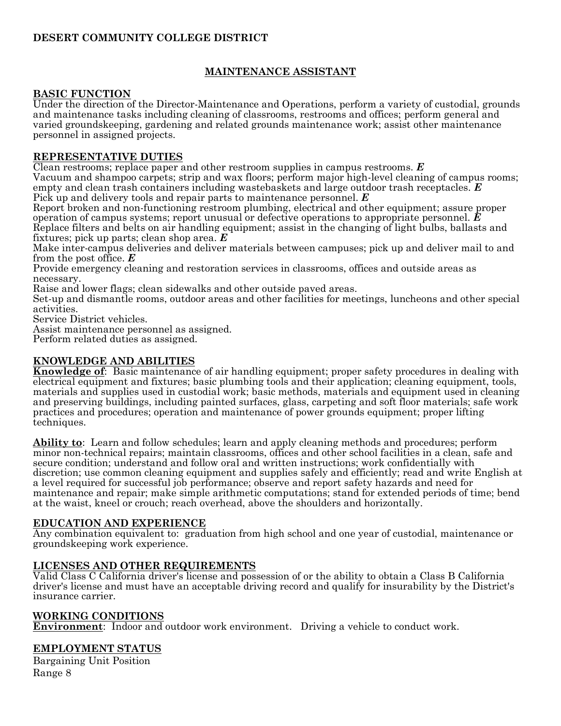## **DESERT COMMUNITY COLLEGE DISTRICT**

## **MAINTENANCE ASSISTANT**

## **BASIC FUNCTION**

Under the direction of the Director-Maintenance and Operations, perform a variety of custodial, grounds and maintenance tasks including cleaning of classrooms, restrooms and offices; perform general and varied groundskeeping, gardening and related grounds maintenance work; assist other maintenance personnel in assigned projects.

## **REPRESENTATIVE DUTIES**

Clean restrooms; replace paper and other restroom supplies in campus restrooms. *E* Vacuum and shampoo carpets; strip and wax floors; perform major high-level cleaning of campus rooms;

empty and clean trash containers including wastebaskets and large outdoor trash receptacles. *E* Pick up and delivery tools and repair parts to maintenance personnel. *E*

Report broken and non-functioning restroom plumbing, electrical and other equipment; assure proper operation of campus systems; report unusual or defective operations to appropriate personnel. *E* Replace filters and belts on air handling equipment; assist in the changing of light bulbs, ballasts and fixtures; pick up parts; clean shop area. *E*

Make inter-campus deliveries and deliver materials between campuses; pick up and deliver mail to and from the post office. *E*

Provide emergency cleaning and restoration services in classrooms, offices and outside areas as necessary.

Raise and lower flags; clean sidewalks and other outside paved areas.

Set-up and dismantle rooms, outdoor areas and other facilities for meetings, luncheons and other special activities.

Service District vehicles.

Assist maintenance personnel as assigned.

Perform related duties as assigned.

## **KNOWLEDGE AND ABILITIES**

**Knowledge of**: Basic maintenance of air handling equipment; proper safety procedures in dealing with electrical equipment and fixtures; basic plumbing tools and their application; cleaning equipment, tools, materials and supplies used in custodial work; basic methods, materials and equipment used in cleaning and preserving buildings, including painted surfaces, glass, carpeting and soft floor materials; safe work practices and procedures; operation and maintenance of power grounds equipment; proper lifting techniques.

**Ability to**: Learn and follow schedules; learn and apply cleaning methods and procedures; perform minor non-technical repairs; maintain classrooms, offices and other school facilities in a clean, safe and secure condition; understand and follow oral and written instructions; work confidentially with discretion; use common cleaning equipment and supplies safely and efficiently; read and write English at a level required for successful job performance; observe and report safety hazards and need for maintenance and repair; make simple arithmetic computations; stand for extended periods of time; bend at the waist, kneel or crouch; reach overhead, above the shoulders and horizontally.

#### **EDUCATION AND EXPERIENCE**

Any combination equivalent to: graduation from high school and one year of custodial, maintenance or groundskeeping work experience.

#### **LICENSES AND OTHER REQUIREMENTS**

Valid Class C California driver's license and possession of or the ability to obtain a Class B California driver's license and must have an acceptable driving record and qualify for insurability by the District's insurance carrier.

#### **WORKING CONDITIONS**

**Environment**: Indoor and outdoor work environment. Driving a vehicle to conduct work.

## **EMPLOYMENT STATUS**

Bargaining Unit Position Range 8